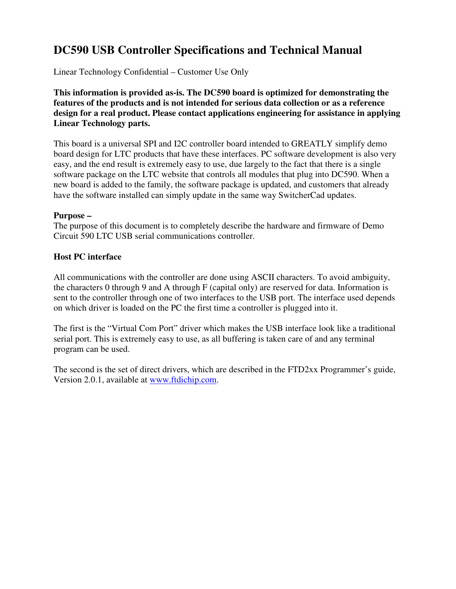# **DC590 USB Controller Specifications and Technical Manual**

Linear Technology Confidential – Customer Use Only

**This information is provided as-is. The DC590 board is optimized for demonstrating the features of the products and is not intended for serious data collection or as a reference design for a real product. Please contact applications engineering for assistance in applying Linear Technology parts.**

This board is a universal SPI and I2C controller board intended to GREATLY simplify demo board design for LTC products that have these interfaces. PC software development is also very easy, and the end result is extremely easy to use, due largely to the fact that there is a single software package on the LTC website that controls all modules that plug into DC590. When a new board is added to the family, the software package is updated, and customers that already have the software installed can simply update in the same way SwitcherCad updates.

### **Purpose –**

The purpose of this document is to completely describe the hardware and firmware of Demo Circuit 590 LTC USB serial communications controller.

# **Host PC interface**

All communications with the controller are done using ASCII characters. To avoid ambiguity, the characters 0 through 9 and A through F (capital only) are reserved for data. Information is sent to the controller through one of two interfaces to the USB port. The interface used depends on which driver is loaded on the PC the first time a controller is plugged into it.

The first is the "Virtual Com Port" driver which makes the USB interface look like a traditional serial port. This is extremely easy to use, as all buffering is taken care of and any terminal program can be used.

The second is the set of direct drivers, which are described in the FTD2xx Programmer's guide, Version 2.0.1, available at www.ftdichip.com.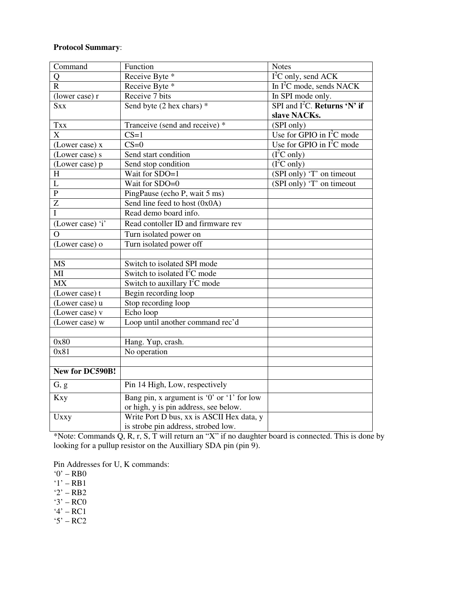# **Protocol Summary**:

| Command               | Function                                   | <b>Notes</b>                      |
|-----------------------|--------------------------------------------|-----------------------------------|
| Q                     | Receive Byte *                             | $\overline{I^2C}$ only, send ACK  |
| $\mathbf{R}$          | Receive Byte *                             | In $I^2C$ mode, sends NACK        |
| (lower case) r        | Receive 7 bits                             | In SPI mode only.                 |
| <b>Sxx</b>            | Send byte (2 hex chars) *                  | SPI and $I^2C$ . Returns 'N' if   |
|                       |                                            | slave NACKs.                      |
| <b>Txx</b>            | Tranceive (send and receive) *             | (SPI only)                        |
| $\overline{\text{X}}$ | $CS=1$                                     | Use for GPIO in $I^2C$ mode       |
| (Lower case) x        | $CS=0$                                     | Use for GPIO in $I^2C$ mode       |
| (Lower case) s        | Send start condition                       | (I <sup>2</sup> C only)           |
| (Lower case) p        | Send stop condition                        | $\overline{(\mathrm{I}^2C}$ only) |
| H                     | Wait for SDO=1                             | (SPI only) 'T' on timeout         |
| L                     | Wait for SDO=0                             | (SPI only) 'T' on timeout         |
| $\overline{P}$        | PingPause (echo P, wait 5 ms)              |                                   |
| Z                     | Send line feed to host (0x0A)              |                                   |
| Ī                     | Read demo board info.                      |                                   |
| (Lower case) 'i'      | Read contoller ID and firmware rev         |                                   |
| $\Omega$              | Turn isolated power on                     |                                   |
| (Lower case) o        | Turn isolated power off                    |                                   |
|                       |                                            |                                   |
| <b>MS</b>             | Switch to isolated SPI mode                |                                   |
| MI                    | Switch to isolated I <sup>2</sup> C mode   |                                   |
| <b>MX</b>             | Switch to auxillary $I2C$ mode             |                                   |
| (Lower case) t        | Begin recording loop                       |                                   |
| (Lower case) u        | Stop recording loop                        |                                   |
| (Lower case) v        | Echo loop                                  |                                   |
| (Lower case) w        | Loop until another command rec'd           |                                   |
|                       |                                            |                                   |
| 0x80                  | Hang. Yup, crash.                          |                                   |
| 0x81                  | No operation                               |                                   |
|                       |                                            |                                   |
| New for DC590B!       |                                            |                                   |
| G, g                  | Pin 14 High, Low, respectively             |                                   |
| <b>Kxy</b>            | Bang pin, x argument is '0' or '1' for low |                                   |
|                       | or high, y is pin address, see below.      |                                   |
| Uxxy                  | Write Port D bus, xx is ASCII Hex data, y  |                                   |
|                       | is strobe pin address, strobed low.        |                                   |

\*Note: Commands Q, R, r, S, T will return an "X" if no daughter board is connected. This is done by looking for a pullup resistor on the Auxilliary SDA pin (pin 9).

Pin Addresses for U, K commands:

'0' – RB0

- $'1'$  RB1
- '2' RB2
- $3' RC0$
- '4' RC1
- '5' RC2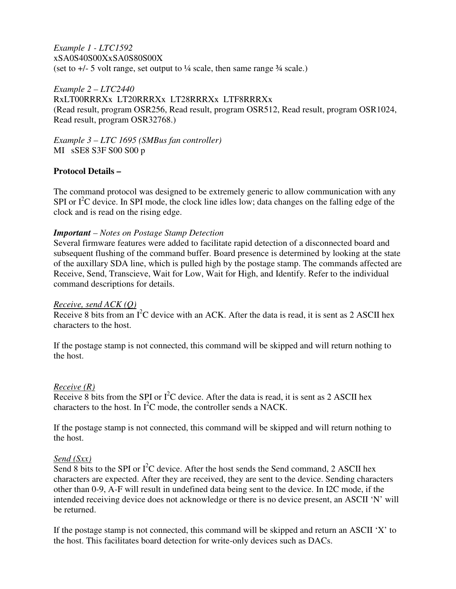*Example 1 - LTC1592* xSA0S40S00XxSA0S80S00X (set to  $+/-$  5 volt range, set output to  $\frac{1}{4}$  scale, then same range  $\frac{3}{4}$  scale.)

*Example 2 – LTC2440* RxLT00RRRXx LT20RRRXx LT28RRRXx LTF8RRRXx (Read result, program OSR256, Read result, program OSR512, Read result, program OSR1024, Read result, program OSR32768.)

*Example 3 – LTC 1695 (SMBus fan controller)* MI sSE8 S3F S00 S00 p

# **Protocol Details –**

The command protocol was designed to be extremely generic to allow communication with any SPI or  $I<sup>2</sup>C$  device. In SPI mode, the clock line idles low; data changes on the falling edge of the clock and is read on the rising edge.

### *Important – Notes on Postage Stamp Detection*

Several firmware features were added to facilitate rapid detection of a disconnected board and subsequent flushing of the command buffer. Board presence is determined by looking at the state of the auxillary SDA line, which is pulled high by the postage stamp. The commands affected are Receive, Send, Transcieve, Wait for Low, Wait for High, and Identify. Refer to the individual command descriptions for details.

### *Receive, send ACK (Q)*

Receive 8 bits from an  $I^2C$  device with an ACK. After the data is read, it is sent as 2 ASCII hex characters to the host.

If the postage stamp is not connected, this command will be skipped and will return nothing to the host.

### *Receive (R)*

Receive 8 bits from the SPI or  $I^2C$  device. After the data is read, it is sent as 2 ASCII hex characters to the host. In  $I^2C$  mode, the controller sends a NACK.

If the postage stamp is not connected, this command will be skipped and will return nothing to the host.

### *Send (Sxx)*

Send 8 bits to the SPI or  $I^2C$  device. After the host sends the Send command, 2 ASCII hex characters are expected. After they are received, they are sent to the device. Sending characters other than 0-9, A-F will result in undefined data being sent to the device. In I2C mode, if the intended receiving device does not acknowledge or there is no device present, an ASCII 'N' will be returned.

If the postage stamp is not connected, this command will be skipped and return an ASCII 'X' to the host. This facilitates board detection for write-only devices such as DACs.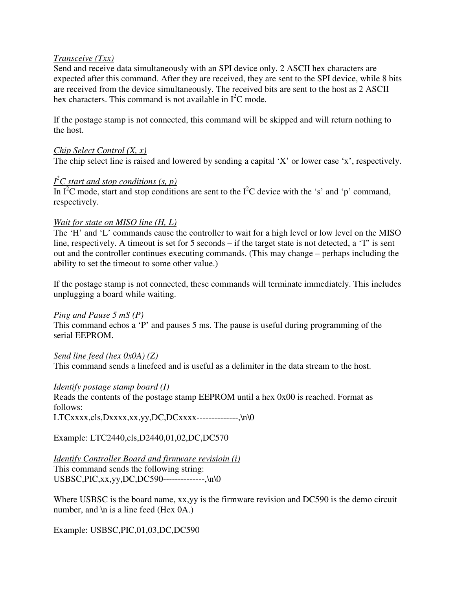### *Transceive (Txx)*

Send and receive data simultaneously with an SPI device only. 2 ASCII hex characters are expected after this command. After they are received, they are sent to the SPI device, while 8 bits are received from the device simultaneously. The received bits are sent to the host as 2 ASCII hex characters. This command is not available in  $I^2C$  mode.

If the postage stamp is not connected, this command will be skipped and will return nothing to the host.

### *Chip Select Control (X, x)*

The chip select line is raised and lowered by sending a capital 'X' or lower case 'x', respectively.

# *I <sup>2</sup>C start and stop conditions (s, p)*

In  $I^2C$  mode, start and stop conditions are sent to the  $I^2C$  device with the 's' and 'p' command, respectively.

### *Wait for state on MISO line (H, L)*

The 'H' and 'L' commands cause the controller to wait for a high level or low level on the MISO line, respectively. A timeout is set for 5 seconds – if the target state is not detected, a 'T' is sent out and the controller continues executing commands. (This may change – perhaps including the ability to set the timeout to some other value.)

If the postage stamp is not connected, these commands will terminate immediately. This includes unplugging a board while waiting.

### *Ping and Pause 5 mS (P)*

This command echos a 'P' and pauses 5 ms. The pause is useful during programming of the serial EEPROM.

### *Send line feed (hex 0x0A) (Z)*

This command sends a linefeed and is useful as a delimiter in the data stream to the host.

### *Identify postage stamp board (I)*

Reads the contents of the postage stamp EEPROM until a hex 0x00 is reached. Format as follows:  $LTCxxxxx, cls, Dxxxxx, xx, yy, DC, DCxxxxx---, \n\cdot\cdot\cdot$ 

Example: LTC2440,cls,D2440,01,02,DC,DC570

### *Identify Controller Board and firmware revisioin (i)*

This command sends the following string: USBSC,PIC,xx,yy,DC,DC590--------------,\n\0

Where USBSC is the board name, xx,yy is the firmware revision and DC590 is the demo circuit number, and  $\ln$  is a line feed (Hex 0A.)

Example: USBSC,PIC,01,03,DC,DC590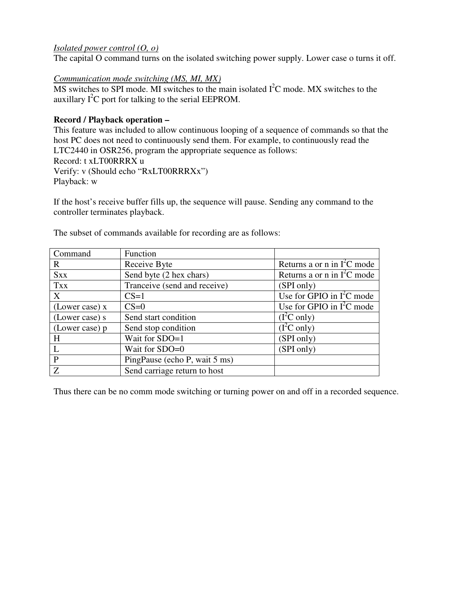# *Isolated power control (O, o)*

The capital O command turns on the isolated switching power supply. Lower case o turns it off.

# *Communication mode switching (MS, MI, MX)*

MS switches to SPI mode. MI switches to the main isolated  $I<sup>2</sup>C$  mode. MX switches to the auxillary  $I^2C$  port for talking to the serial EEPROM.

# **Record / Playback operation –**

This feature was included to allow continuous looping of a sequence of commands so that the host PC does not need to continuously send them. For example, to continuously read the LTC2440 in OSR256, program the appropriate sequence as follows: Record: t xLT00RRRX u Verify: v (Should echo "RxLT00RRRXx") Playback: w

If the host's receive buffer fills up, the sequence will pause. Sending any command to the controller terminates playback.

| Command        | Function                      |                               |
|----------------|-------------------------------|-------------------------------|
| $\mathbf{R}$   | Receive Byte                  | Returns a or n in $I^2C$ mode |
| <b>Sxx</b>     | Send byte (2 hex chars)       | Returns a or n in $I2C$ mode  |
| <b>Txx</b>     | Tranceive (send and receive)  | (SPI only)                    |
| X              | $CS=1$                        | Use for GPIO in $I^2C$ mode   |
| (Lower case) x | $CS=0$                        | Use for GPIO in $I^2C$ mode   |
| (Lower case) s | Send start condition          | (I <sup>2</sup> C only)       |
| (Lower case) p | Send stop condition           | $(I^2C \text{ only})$         |
| H              | Wait for SDO=1                | (SPI only)                    |
| $\mathsf{L}$   | Wait for SDO=0                | (SPI only)                    |
| $\mathbf{P}$   | PingPause (echo P, wait 5 ms) |                               |
| $\overline{Z}$ | Send carriage return to host  |                               |

The subset of commands available for recording are as follows:

Thus there can be no comm mode switching or turning power on and off in a recorded sequence.